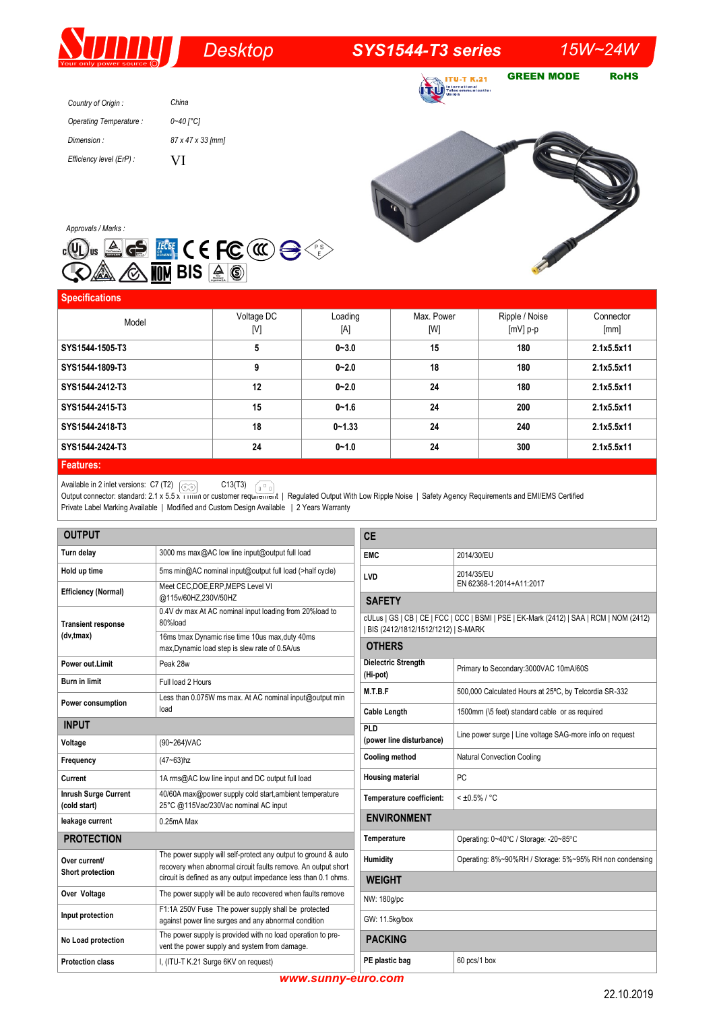# *Desktop SYS1544-T3 series 15W~24W*

**ITU-T K.21 TRU** Follocommunication

GREEN MODE RoHS

*Country of Origin : Operating Temperature : Dimension : Efficiency level (ErP) : China 0~40 [°C] 87 x 47 x 33 [mm]*  VI



| <b>Specifications</b> |                   |                |                   |                              |                   |
|-----------------------|-------------------|----------------|-------------------|------------------------------|-------------------|
| Model                 | Voltage DC<br>[V] | Loading<br>[A] | Max. Power<br>[W] | Ripple / Noise<br>$[mV]$ p-p | Connector<br>[mm] |
| SYS1544-1505-T3       | 5                 | $0 - 3.0$      | 15                | 180                          | 2.1x5.5x11        |
| SYS1544-1809-T3       | 9                 | $0 - 2.0$      | 18                | 180                          | 2.1x5.5x11        |
| SYS1544-2412-T3       | 12                | $0 - 2.0$      | 24                | 180                          | 2.1x5.5x11        |
| SYS1544-2415-T3       | 15                | $0 - 1.6$      | 24                | 200                          | 2.1x5.5x11        |
| SYS1544-2418-T3       | 18                | $0 - 1.33$     | 24                | 240                          | 2.1x5.5x11        |
| SYS1544-2424-T3       | 24                | $0 - 1.0$      | 24                | 300                          | 2.1x5.5x11        |
| <b>Eastures</b>       |                   |                |                   |                              |                   |

## **Features:**

Available in 2 inlet versions:  $C7(T2)$   $\sim$   $\sim$   $C13(T3)$ 

Output connector: standard: 2.1 x 5.5 x 11mm or customer requirement | Regulated Output With Low Ripple Noise | Safety Agency Requirements and EMI/EMS Certified Private Label Marking Available | Modified and Custom Design Available | 2 Years Warranty

| <b>OUTPUT</b>                               |                                                                                                                                 | <b>CE</b>                                                                                                                     |                                                          |  |  |
|---------------------------------------------|---------------------------------------------------------------------------------------------------------------------------------|-------------------------------------------------------------------------------------------------------------------------------|----------------------------------------------------------|--|--|
| Turn delay                                  | 3000 ms max@AC low line input@output full load                                                                                  | <b>EMC</b>                                                                                                                    | 2014/30/EU                                               |  |  |
| Hold up time                                | 5ms min@AC nominal input@output full load (>half cycle)                                                                         | <b>LVD</b>                                                                                                                    | 2014/35/EU                                               |  |  |
| <b>Efficiency (Normal)</b>                  | Meet CEC, DOE, ERP, MEPS Level VI<br>@115v/60HZ,230V/50HZ                                                                       | EN 62368-1:2014+A11:2017<br><b>SAFETY</b>                                                                                     |                                                          |  |  |
| <b>Transient response</b>                   | 0.4V dv max At AC nominal input loading from 20%load to<br>80%load                                                              | cULus   GS   CB   CE   FCC   CCC   BSMI   PSE   EK-Mark (2412)   SAA   RCM   NOM (2412)<br>BIS (2412/1812/1512/1212)   S-MARK |                                                          |  |  |
| (dv, tmax)                                  | 16ms tmax Dynamic rise time 10us max, duty 40ms<br>max, Dynamic load step is slew rate of 0.5A/us                               | <b>OTHERS</b>                                                                                                                 |                                                          |  |  |
| Power out.Limit                             | Peak 28w                                                                                                                        | <b>Dielectric Strength</b><br>(Hi-pot)                                                                                        | Primary to Secondary: 3000VAC 10mA/60S                   |  |  |
| <b>Burn in limit</b>                        | Full load 2 Hours                                                                                                               | M.T.B.F                                                                                                                       | 500,000 Calculated Hours at 25°C, by Telcordia SR-332    |  |  |
| Power consumption                           | Less than 0.075W ms max. At AC nominal input@output min                                                                         |                                                                                                                               |                                                          |  |  |
| <b>INPUT</b>                                | load                                                                                                                            | <b>Cable Length</b>                                                                                                           | 1500mm (\5 feet) standard cable or as required           |  |  |
| Voltage<br>(90~264) VAC                     |                                                                                                                                 | PLD<br>(power line disturbance)                                                                                               | Line power surge   Line voltage SAG-more info on request |  |  |
| Frequency                                   | $(47 - 63)$ hz                                                                                                                  | <b>Cooling method</b>                                                                                                         | <b>Natural Convection Cooling</b>                        |  |  |
| Current                                     | 1A rms@AC low line input and DC output full load                                                                                | <b>Housing material</b>                                                                                                       | PC.                                                      |  |  |
| <b>Inrush Surge Current</b><br>(cold start) | 40/60A max@power supply cold start, ambient temperature<br>25°C @115Vac/230Vac nominal AC input                                 | Temperature coefficient:                                                                                                      | $< 10.5\% / °C$                                          |  |  |
| leakage current                             | $0.25mA$ Max                                                                                                                    |                                                                                                                               | <b>ENVIRONMENT</b>                                       |  |  |
| <b>PROTECTION</b>                           |                                                                                                                                 | Temperature                                                                                                                   | Operating: 0~40°C / Storage: -20~85°C                    |  |  |
| Over current/<br>Short protection           | The power supply will self-protect any output to ground & auto<br>recovery when abnormal circuit faults remove. An output short | Humidity                                                                                                                      | Operating: 8%~90%RH / Storage: 5%~95% RH non condensing  |  |  |
|                                             | circuit is defined as any output impedance less than 0.1 ohms.                                                                  | <b>WEIGHT</b>                                                                                                                 |                                                          |  |  |
| Over Voltage                                | The power supply will be auto recovered when faults remove                                                                      | NW: 180q/pc                                                                                                                   |                                                          |  |  |
| Input protection                            | F1:1A 250V Fuse The power supply shall be protected<br>against power line surges and any abnormal condition                     |                                                                                                                               | GW: 11.5kg/box                                           |  |  |
| No Load protection                          | The power supply is provided with no load operation to pre-<br>vent the power supply and system from damage.                    |                                                                                                                               | <b>PACKING</b>                                           |  |  |
| <b>Protection class</b>                     | I, (ITU-T K.21 Surge 6KV on request)                                                                                            | PE plastic bag                                                                                                                | 60 pcs/1 box                                             |  |  |

*www.sunny-euro.com*